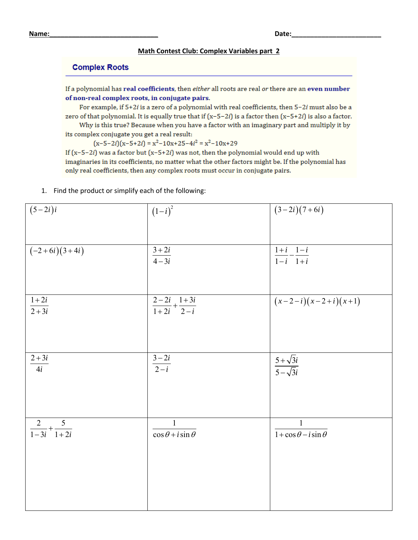## **Math Contest Club: Complex Variables part 2**

## **Complex Roots**

If a polynomial has real coefficients, then either all roots are real or there are an even number of non-real complex roots, in conjugate pairs.

For example, if  $5+2i$  is a zero of a polynomial with real coefficients, then  $5-2i$  must also be a zero of that polynomial. It is equally true that if  $(x-5-2i)$  is a factor then  $(x-5+2i)$  is also a factor.

Why is this true? Because when you have a factor with an imaginary part and multiply it by its complex conjugate you get a real result:

 $(x-5-2i)(x-5+2i) = x^2-10x+25-4i^2 = x^2-10x+29$ 

If  $(x-5-2i)$  was a factor but  $(x-5+2i)$  was not, then the polynomial would end up with imaginaries in its coefficients, no matter what the other factors might be. If the polynomial has only real coefficients, then any complex roots must occur in conjugate pairs.

## 1. Find the product or simplify each of the following:

| $\overline{(5-2i)i}$            | $(1-i)^2$                                             | $(3-2i)(7+6i)$                                               |
|---------------------------------|-------------------------------------------------------|--------------------------------------------------------------|
| $(-2+6i)(3+4i)$                 | $\frac{3+2i}{4-3i}$                                   | $\frac{1+i}{i}$                                              |
|                                 |                                                       | $\overline{1-i}$ $\overline{1+i}$                            |
| $\frac{1+2i}{2+3i}$             | $\frac{2-2i}{1+2i}+\frac{1+3i}{2-i}$                  | $(x-2-i)(x-2+i)(x+1)$                                        |
| $2+3i$<br>$\overline{4i}$       | $\frac{3-2i}{2-i}$                                    | $\frac{5+\sqrt{3}i}{5-\sqrt{3}i}$                            |
| $\frac{2}{1-3i}+\frac{5}{1+2i}$ | $\mathbf{1}$<br>$\overline{\cos\theta + i\sin\theta}$ | $\mathbf{1}$<br>$\overline{1 + \cos \theta - i \sin \theta}$ |
|                                 |                                                       |                                                              |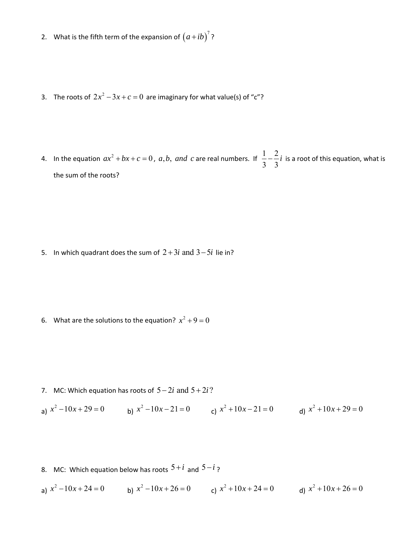- 2. What is the fifth term of the expansion of  $(a+ib)^7$ ?
- 3. The roots of  $2x^2 3x + c = 0$  are imaginary for what value(s) of "c"?
- 4. In the equation  $ax^2 + bx + c = 0$ , a, b, and c are real numbers. If  $\frac{1}{2} \frac{2}{3}$ 3 3  $\frac{2}{3}i$  is a root of this equation, what is the sum of the roots?

5. In which quadrant does the sum of  $2 + 3i$  and  $3 - 5i$  lie in?

6. What are the solutions to the equation?  $x^2 + 9 = 0$ 

7. MC: Which equation has roots of  $5 - 2i$  and  $5 + 2i$ ?

a)  $x^2 - 10x + 29 = 0$  b)  $x^2 - 10x - 21 = 0$  c)  $x^2 + 10x - 21 = 0$  d)  $x^2 + 10x + 29 = 0$ 

- 8. MC: Which equation below has roots  $5+i$  and  $5-i$ ?
- a)  $x^2 10x + 24 = 0$  b)  $x^2 10x + 26 = 0$  c)  $x^2 + 10x + 24 = 0$  d)  $x^2 + 10x + 26 = 0$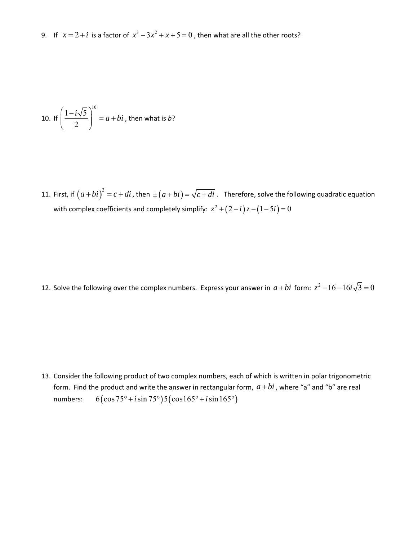9. If  $x = 2 + i$  is a factor of  $x^3 - 3x^2 + x + 5 = 0$ , then what are all the other roots?

10. If 
$$
\left(\frac{1-i\sqrt{5}}{2}\right)^{10} = a+bi
$$
, then what is *b*?

11. First, if  $(a+bi)^2 = c + di$  , then  $\pm (a+bi) = \sqrt{c+di}$  . Therefore, solve the following quadratic equation with complex coefficients and completely simplify:  $z^2 + (2 - i)z - (1 - 5i) = 0$ 

12. Solve the following over the complex numbers. Express your answer in  $a + bi$  form:  $z^2 - 16 - 16i\sqrt{3} = 0$ 

13. Consider the following product of two complex numbers, each of which is written in polar trigonometric form. Find the product and write the answer in rectangular form,  $a + bi$ , where "a" and "b" are real numbers:  $6(\cos 75^\circ + i \sin 75^\circ)5(\cos 165^\circ + i \sin 165^\circ)$